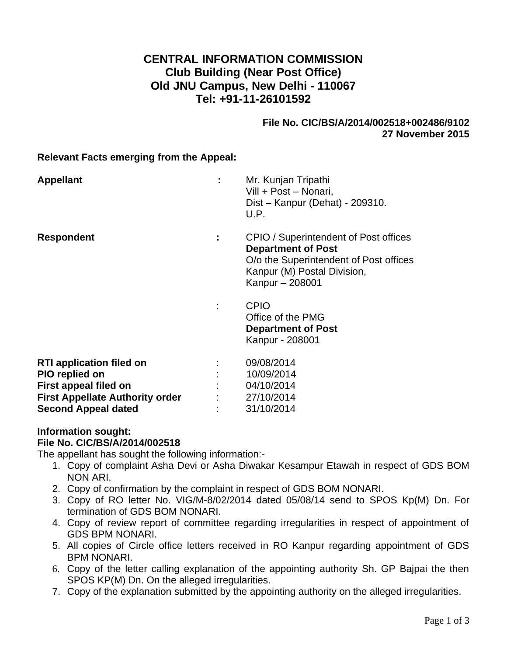# **CENTRAL INFORMATION COMMISSION Club Building (Near Post Office) Old JNU Campus, New Delhi - 110067 Tel: +91-11-26101592**

# **File No. CIC/BS/A/2014/002518+002486/9102 27 November 2015**

#### **Relevant Facts emerging from the Appeal:**

| <b>Appellant</b>                       |   | Mr. Kunjan Tripathi<br>Vill + Post - Nonari,<br>Dist - Kanpur (Dehat) - 209310.<br>U.P.                                                                        |
|----------------------------------------|---|----------------------------------------------------------------------------------------------------------------------------------------------------------------|
| <b>Respondent</b>                      | ÷ | CPIO / Superintendent of Post offices<br><b>Department of Post</b><br>O/o the Superintendent of Post offices<br>Kanpur (M) Postal Division,<br>Kanpur - 208001 |
|                                        |   | <b>CPIO</b><br>Office of the PMG<br><b>Department of Post</b><br>Kanpur - 208001                                                                               |
| <b>RTI application filed on</b>        |   | 09/08/2014                                                                                                                                                     |
| PIO replied on                         |   | 10/09/2014                                                                                                                                                     |
| First appeal filed on                  |   | 04/10/2014                                                                                                                                                     |
| <b>First Appellate Authority order</b> |   | 27/10/2014                                                                                                                                                     |
| <b>Second Appeal dated</b>             |   | 31/10/2014                                                                                                                                                     |

#### **Information sought: File No. CIC/BS/A/2014/002518**

The appellant has sought the following information:-

- 1. Copy of complaint Asha Devi or Asha Diwakar Kesampur Etawah in respect of GDS BOM NON ARI.
- 2. Copy of confirmation by the complaint in respect of GDS BOM NONARI.
- 3. Copy of RO letter No. VIG/M-8/02/2014 dated 05/08/14 send to SPOS Kp(M) Dn. For termination of GDS BOM NONARI.
- 4. Copy of review report of committee regarding irregularities in respect of appointment of GDS BPM NONARI.
- 5. All copies of Circle office letters received in RO Kanpur regarding appointment of GDS BPM NONARI.
- 6. Copy of the letter calling explanation of the appointing authority Sh. GP Bajpai the then SPOS KP(M) Dn. On the alleged irregularities.
- 7. Copy of the explanation submitted by the appointing authority on the alleged irregularities.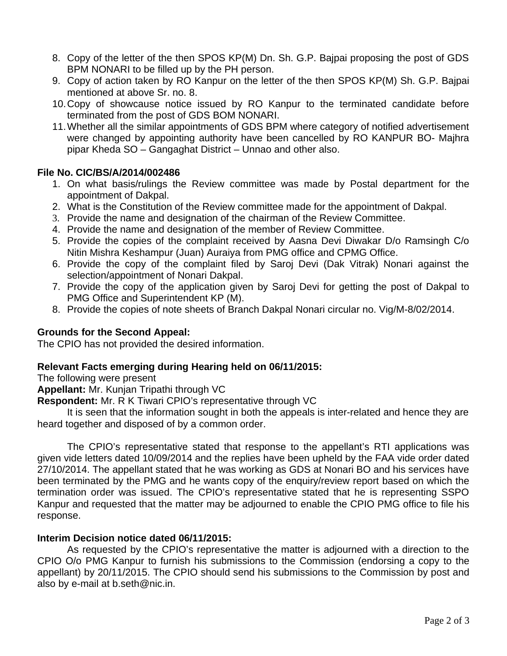- 8. Copy of the letter of the then SPOS KP(M) Dn. Sh. G.P. Bajpai proposing the post of GDS BPM NONARI to be filled up by the PH person.
- 9. Copy of action taken by RO Kanpur on the letter of the then SPOS KP(M) Sh. G.P. Bajpai mentioned at above Sr. no. 8.
- 10.Copy of showcause notice issued by RO Kanpur to the terminated candidate before terminated from the post of GDS BOM NONARI.
- 11.Whether all the similar appointments of GDS BPM where category of notified advertisement were changed by appointing authority have been cancelled by RO KANPUR BO- Majhra pipar Kheda SO – Gangaghat District – Unnao and other also.

#### **File No. CIC/BS/A/2014/002486**

- 1. On what basis/rulings the Review committee was made by Postal department for the appointment of Dakpal.
- 2. What is the Constitution of the Review committee made for the appointment of Dakpal.
- 3. Provide the name and designation of the chairman of the Review Committee.
- 4. Provide the name and designation of the member of Review Committee.
- 5. Provide the copies of the complaint received by Aasna Devi Diwakar D/o Ramsingh C/o Nitin Mishra Keshampur (Juan) Auraiya from PMG office and CPMG Office.
- 6. Provide the copy of the complaint filed by Saroj Devi (Dak Vitrak) Nonari against the selection/appointment of Nonari Dakpal.
- 7. Provide the copy of the application given by Saroj Devi for getting the post of Dakpal to PMG Office and Superintendent KP (M).
- 8. Provide the copies of note sheets of Branch Dakpal Nonari circular no. Vig/M-8/02/2014.

### **Grounds for the Second Appeal:**

The CPIO has not provided the desired information.

#### **Relevant Facts emerging during Hearing held on 06/11/2015:**

The following were present

**Appellant:** Mr. Kunjan Tripathi through VC

**Respondent:** Mr. R K Tiwari CPIO's representative through VC

It is seen that the information sought in both the appeals is inter-related and hence they are heard together and disposed of by a common order.

The CPIO's representative stated that response to the appellant's RTI applications was given vide letters dated 10/09/2014 and the replies have been upheld by the FAA vide order dated 27/10/2014. The appellant stated that he was working as GDS at Nonari BO and his services have been terminated by the PMG and he wants copy of the enquiry/review report based on which the termination order was issued. The CPIO's representative stated that he is representing SSPO Kanpur and requested that the matter may be adjourned to enable the CPIO PMG office to file his response.

#### **Interim Decision notice dated 06/11/2015:**

As requested by the CPIO's representative the matter is adjourned with a direction to the CPIO O/o PMG Kanpur to furnish his submissions to the Commission (endorsing a copy to the appellant) by 20/11/2015. The CPIO should send his submissions to the Commission by post and also by e-mail at b.seth@nic.in.